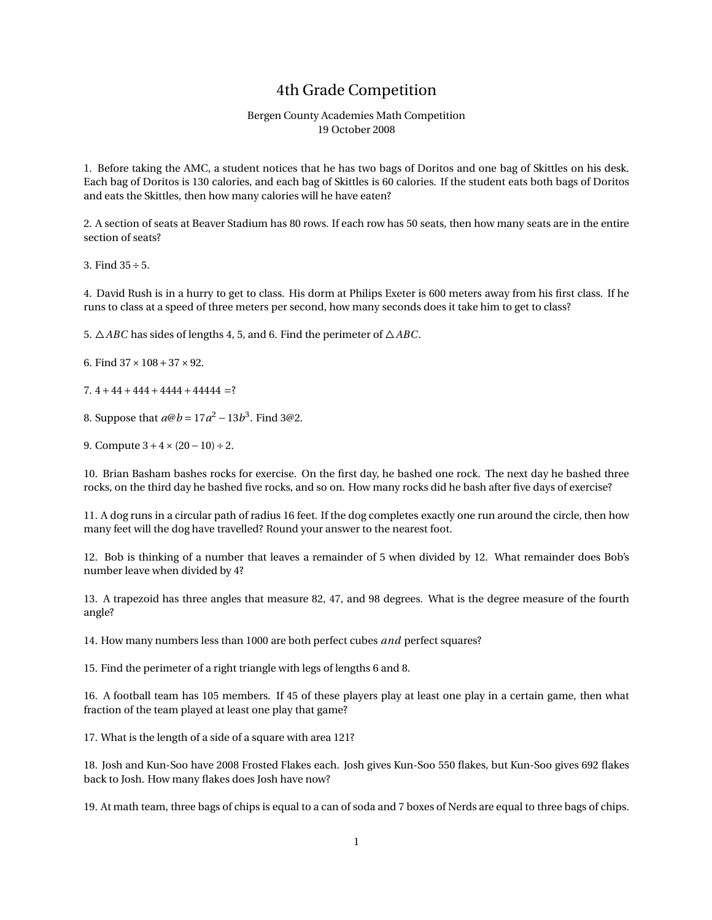## 4th Grade Competition

## Bergen County Academies Math Competition 19 October 2008

1. Before taking the AMC, a student notices that he has two bags of Doritos and one bag of Skittles on his desk. Each bag of Doritos is 130 calories, and each bag of Skittles is 60 calories. If the student eats both bags of Doritos and eats the Skittles, then how many calories will he have eaten?

2. A section of seats at Beaver Stadium has 80 rows. If each row has 50 seats, then how many seats are in the entire section of seats?

3. Find  $35 \div 5$ .

4. David Rush is in a hurry to get to class. His dorm at Philips Exeter is 600 meters away from his first class. If he runs to class at a speed of three meters per second, how many seconds does it take him to get to class?

5.  $\triangle ABC$  has sides of lengths 4, 5, and 6. Find the perimeter of  $\triangle ABC$ .

6. Find  $37 \times 108 + 37 \times 92$ .

7.  $4+44+444+4444+44444$  =?

8. Suppose that  $a@b = 17a^2 - 13b^3$ . Find 3@2.

9. Compute  $3+4 \times (20-10) \div 2$ .

10. Brian Basham bashes rocks for exercise. On the first day, he bashed one rock. The next day he bashed three rocks, on the third day he bashed five rocks, and so on. How many rocks did he bash after five days of exercise?

11. A dog runs in a circular path of radius 16 feet. If the dog completes exactly one run around the circle, then how many feet will the dog have travelled? Round your answer to the nearest foot.

12. Bob is thinking of a number that leaves a remainder of 5 when divided by 12. What remainder does Bob's number leave when divided by 4?

13. A trapezoid has three angles that measure 82, 47, and 98 degrees. What is the degree measure of the fourth angle?

14. How many numbers less than 1000 are both perfect cubes *and* perfect squares?

15. Find the perimeter of a right triangle with legs of lengths 6 and 8.

16. A football team has 105 members. If 45 of these players play at least one play in a certain game, then what fraction of the team played at least one play that game?

17. What is the length of a side of a square with area 121?

18. Josh and Kun-Soo have 2008 Frosted Flakes each. Josh gives Kun-Soo 550 flakes, but Kun-Soo gives 692 flakes back to Josh. How many flakes does Josh have now?

19. At math team, three bags of chips is equal to a can of soda and 7 boxes of Nerds are equal to three bags of chips.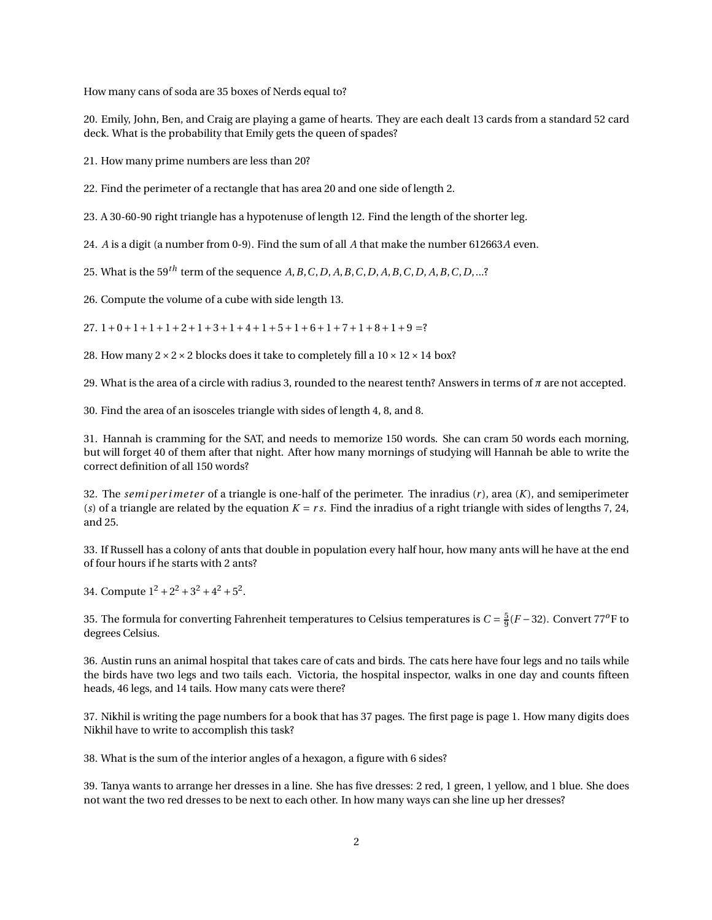How many cans of soda are 35 boxes of Nerds equal to?

20. Emily, John, Ben, and Craig are playing a game of hearts. They are each dealt 13 cards from a standard 52 card deck. What is the probability that Emily gets the queen of spades?

21. How many prime numbers are less than 20?

22. Find the perimeter of a rectangle that has area 20 and one side of length 2.

23. A 30-60-90 right triangle has a hypotenuse of length 12. Find the length of the shorter leg.

24. *A* is a digit (a number from 0-9). Find the sum of all *A* that make the number 612663*A* even.

25. What is the 59*th* term of the sequence *A*,*B*,*C*,*D*, *A*,*B*,*C*,*D*, *A*,*B*,*C*,*D*, *A*,*B*,*C*,*D*,...?

26. Compute the volume of a cube with side length 13.

27.  $1+0+1+1+1+2+1+3+1+4+1+5+1+6+1+7+1+8+1+9=?$ 

28. How many  $2 \times 2 \times 2$  blocks does it take to completely fill a  $10 \times 12 \times 14$  box?

29. What is the area of a circle with radius 3, rounded to the nearest tenth? Answers in terms of *π* are not accepted.

30. Find the area of an isosceles triangle with sides of length 4, 8, and 8.

31. Hannah is cramming for the SAT, and needs to memorize 150 words. She can cram 50 words each morning, but will forget 40 of them after that night. After how many mornings of studying will Hannah be able to write the correct definition of all 150 words?

32. The *semi per i meter* of a triangle is one-half of the perimeter. The inradius (*r* ), area (*K*), and semiperimeter (*s*) of a triangle are related by the equation  $K = rs$ . Find the inradius of a right triangle with sides of lengths 7, 24, and 25.

33. If Russell has a colony of ants that double in population every half hour, how many ants will he have at the end of four hours if he starts with 2 ants?

34. Compute  $1^2 + 2^2 + 3^2 + 4^2 + 5^2$ .

35. The formula for converting Fahrenheit temperatures to Celsius temperatures is  $C = \frac{5}{9}(F - 32)$ . Convert 77<sup>o</sup>F to degrees Celsius.

36. Austin runs an animal hospital that takes care of cats and birds. The cats here have four legs and no tails while the birds have two legs and two tails each. Victoria, the hospital inspector, walks in one day and counts fifteen heads, 46 legs, and 14 tails. How many cats were there?

37. Nikhil is writing the page numbers for a book that has 37 pages. The first page is page 1. How many digits does Nikhil have to write to accomplish this task?

38. What is the sum of the interior angles of a hexagon, a figure with 6 sides?

39. Tanya wants to arrange her dresses in a line. She has five dresses: 2 red, 1 green, 1 yellow, and 1 blue. She does not want the two red dresses to be next to each other. In how many ways can she line up her dresses?